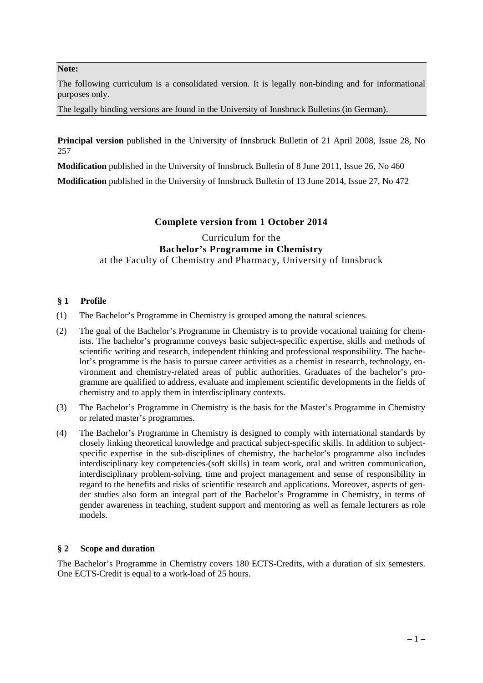### **Note:**

The following curriculum is a consolidated version. It is legally non-binding and for informational purposes only.

The legally binding versions are found in the University of Innsbruck Bulletins (in German).

**Principal version** published in the University of Innsbruck Bulletin of 21 April 2008, Issue 28, No 257

**Modification** published in the University of Innsbruck Bulletin of 8 June 2011, Issue 26, No 460

**Modification** published in the University of Innsbruck Bulletin of 13 June 2014, Issue 27, No 472

# **Complete version from 1 October 2014**

# Curriculum for the **Bachelor's Programme in Chemistry** at the Faculty of Chemistry and Pharmacy, University of Innsbruck

## **§ 1 Profile**

- (1) The Bachelor's Programme in Chemistry is grouped among the natural sciences.
- (2) The goal of the Bachelor's Programme in Chemistry is to provide vocational training for chemists. The bachelor's programme conveys basic subject-specific expertise, skills and methods of scientific writing and research, independent thinking and professional responsibility. The bachelor's programme is the basis to pursue career activities as a chemist in research, technology, environment and chemistry-related areas of public authorities. Graduates of the bachelor's programme are qualified to address, evaluate and implement scientific developments in the fields of chemistry and to apply them in interdisciplinary contexts.
- (3) The Bachelor's Programme in Chemistry is the basis for the Master's Programme in Chemistry or related master's programmes.
- (4) The Bachelor's Programme in Chemistry is designed to comply with international standards by closely linking theoretical knowledge and practical subject-specific skills. In addition to subjectspecific expertise in the sub-disciplines of chemistry, the bachelor's programme also includes interdisciplinary key competencies-(soft skills) in team work, oral and written communication, interdisciplinary problem-solving, time and project management and sense of responsibility in regard to the benefits and risks of scientific research and applications. Moreover, aspects of gender studies also form an integral part of the Bachelor's Programme in Chemistry, in terms of gender awareness in teaching, student support and mentoring as well as female lecturers as role models.

### **§ 2 Scope and duration**

The Bachelor's Programme in Chemistry covers 180 ECTS-Credits, with a duration of six semesters. One ECTS-Credit is equal to a work-load of 25 hours.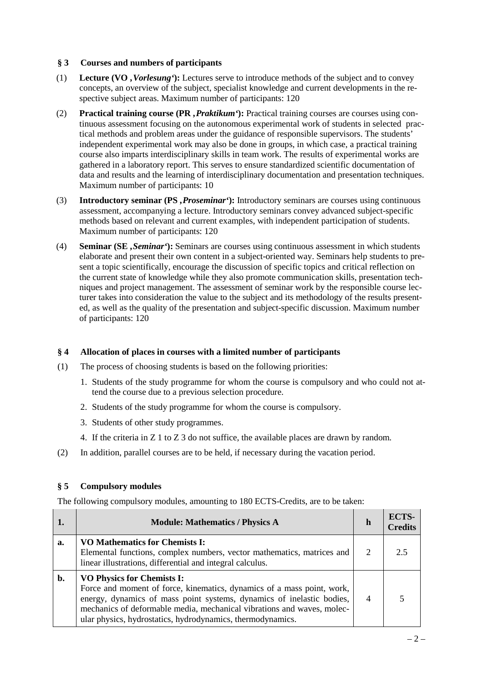## **§ 3 Courses and numbers of participants**

- (1) **Lecture (VO** *'Vorlesung'***):** Lectures serve to introduce methods of the subject and to convey concepts, an overview of the subject, specialist knowledge and current developments in the respective subject areas. Maximum number of participants: 120
- (2) **Practical training course (PR** *'Praktikum'***):** Practical training courses are courses using continuous assessment focusing on the autonomous experimental work of students in selected practical methods and problem areas under the guidance of responsible supervisors. The students' independent experimental work may also be done in groups, in which case, a practical training course also imparts interdisciplinary skills in team work. The results of experimental works are gathered in a laboratory report. This serves to ensure standardized scientific documentation of data and results and the learning of interdisciplinary documentation and presentation techniques. Maximum number of participants: 10
- (3) **Introductory seminar (PS** *'Proseminar'***):** Introductory seminars are courses using continuous assessment, accompanying a lecture. Introductory seminars convey advanced subject-specific methods based on relevant and current examples, with independent participation of students. Maximum number of participants: 120
- (4) **Seminar (SE** *'Seminar'***):** Seminars are courses using continuous assessment in which students elaborate and present their own content in a subject-oriented way. Seminars help students to present a topic scientifically, encourage the discussion of specific topics and critical reflection on the current state of knowledge while they also promote communication skills, presentation techniques and project management. The assessment of seminar work by the responsible course lecturer takes into consideration the value to the subject and its methodology of the results presented, as well as the quality of the presentation and subject-specific discussion. Maximum number of participants: 120

### **§ 4 Allocation of places in courses with a limited number of participants**

- (1) The process of choosing students is based on the following priorities:
	- 1. Students of the study programme for whom the course is compulsory and who could not attend the course due to a previous selection procedure.
	- 2. Students of the study programme for whom the course is compulsory.
	- 3. Students of other study programmes.
	- 4. If the criteria in Z 1 to Z 3 do not suffice, the available places are drawn by random.
- (2) In addition, parallel courses are to be held, if necessary during the vacation period.

### **§ 5 Compulsory modules**

The following compulsory modules, amounting to 180 ECTS-Credits, are to be taken:

|    | <b>Module: Mathematics / Physics A</b>                                                                                                                                                                                                                                                                                       | h                           | ECTS-<br><b>Credits</b> |
|----|------------------------------------------------------------------------------------------------------------------------------------------------------------------------------------------------------------------------------------------------------------------------------------------------------------------------------|-----------------------------|-------------------------|
| a. | VO Mathematics for Chemists I:<br>Elemental functions, complex numbers, vector mathematics, matrices and<br>linear illustrations, differential and integral calculus.                                                                                                                                                        | $\mathcal{D}_{\mathcal{L}}$ | 2.5                     |
| b. | <b>VO Physics for Chemists I:</b><br>Force and moment of force, kinematics, dynamics of a mass point, work,<br>energy, dynamics of mass point systems, dynamics of inelastic bodies,<br>mechanics of deformable media, mechanical vibrations and waves, molec-<br>ular physics, hydrostatics, hydrodynamics, thermodynamics. |                             |                         |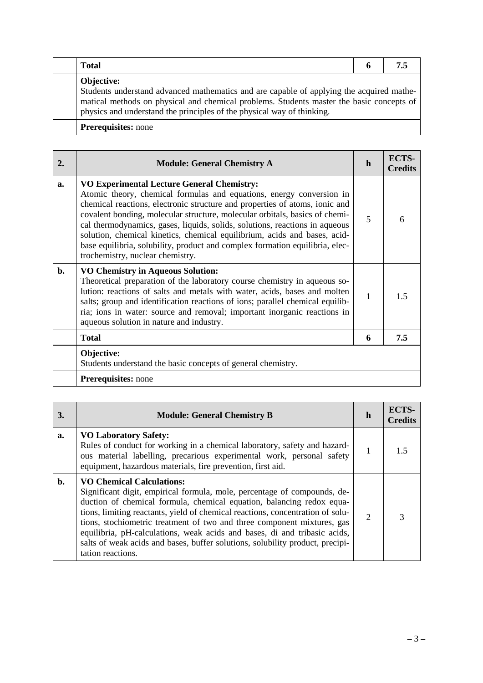| <b>Total</b>                                                                                                                                                                                                                                                                        | n |  |
|-------------------------------------------------------------------------------------------------------------------------------------------------------------------------------------------------------------------------------------------------------------------------------------|---|--|
| <b>Objective:</b><br>Students understand advanced mathematics and are capable of applying the acquired mathe-<br>matical methods on physical and chemical problems. Students master the basic concepts of<br>physics and understand the principles of the physical way of thinking. |   |  |
| <b>Prerequisites:</b> none                                                                                                                                                                                                                                                          |   |  |

| 2.             | <b>Module: General Chemistry A</b>                                                                                                                                                                                                                                                                                                                                                                                                                                                                                                                                      | h | ECTS-<br><b>Credits</b> |
|----------------|-------------------------------------------------------------------------------------------------------------------------------------------------------------------------------------------------------------------------------------------------------------------------------------------------------------------------------------------------------------------------------------------------------------------------------------------------------------------------------------------------------------------------------------------------------------------------|---|-------------------------|
| a.             | <b>VO Experimental Lecture General Chemistry:</b><br>Atomic theory, chemical formulas and equations, energy conversion in<br>chemical reactions, electronic structure and properties of atoms, ionic and<br>covalent bonding, molecular structure, molecular orbitals, basics of chemi-<br>cal thermodynamics, gases, liquids, solids, solutions, reactions in aqueous<br>solution, chemical kinetics, chemical equilibrium, acids and bases, acid-<br>base equilibria, solubility, product and complex formation equilibria, elec-<br>trochemistry, nuclear chemistry. | 5 | 6                       |
| $\mathbf{b}$ . | <b>VO Chemistry in Aqueous Solution:</b><br>Theoretical preparation of the laboratory course chemistry in aqueous so-<br>lution: reactions of salts and metals with water, acids, bases and molten<br>salts; group and identification reactions of ions; parallel chemical equilib-<br>ria; ions in water: source and removal; important inorganic reactions in<br>aqueous solution in nature and industry.                                                                                                                                                             | 1 | 15                      |
|                | <b>Total</b>                                                                                                                                                                                                                                                                                                                                                                                                                                                                                                                                                            | 6 | 7.5                     |
|                | Objective:<br>Students understand the basic concepts of general chemistry.                                                                                                                                                                                                                                                                                                                                                                                                                                                                                              |   |                         |
|                | <b>Prerequisites:</b> none                                                                                                                                                                                                                                                                                                                                                                                                                                                                                                                                              |   |                         |

| 3.             | <b>Module: General Chemistry B</b>                                                                                                                                                                                                                                                                                                                                                                                                                                                                                                    | h              | ECTS-<br><b>Credits</b> |
|----------------|---------------------------------------------------------------------------------------------------------------------------------------------------------------------------------------------------------------------------------------------------------------------------------------------------------------------------------------------------------------------------------------------------------------------------------------------------------------------------------------------------------------------------------------|----------------|-------------------------|
| a.             | <b>VO Laboratory Safety:</b><br>Rules of conduct for working in a chemical laboratory, safety and hazard-<br>ous material labelling, precarious experimental work, personal safety<br>equipment, hazardous materials, fire prevention, first aid.                                                                                                                                                                                                                                                                                     | 1              | 15                      |
| $\mathbf{b}$ . | <b>VO Chemical Calculations:</b><br>Significant digit, empirical formula, mole, percentage of compounds, de-<br>duction of chemical formula, chemical equation, balancing redox equa-<br>tions, limiting reactants, yield of chemical reactions, concentration of solu-<br>tions, stochiometric treatment of two and three component mixtures, gas<br>equilibria, pH-calculations, weak acids and bases, di and tribasic acids,<br>salts of weak acids and bases, buffer solutions, solubility product, precipi-<br>tation reactions. | $\overline{2}$ |                         |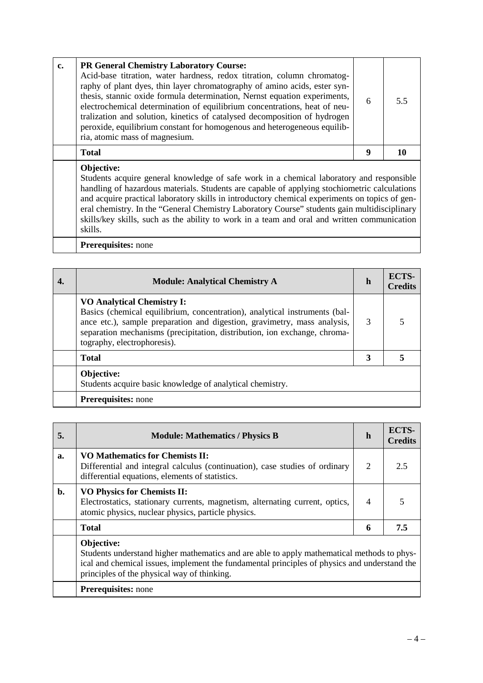| c. | <b>PR General Chemistry Laboratory Course:</b><br>Acid-base titration, water hardness, redox titration, column chromatog-<br>raphy of plant dyes, thin layer chromatography of amino acids, ester syn-<br>thesis, stannic oxide formula determination, Nernst equation experiments,<br>electrochemical determination of equilibrium concentrations, heat of neu-<br>tralization and solution, kinetics of catalysed decomposition of hydrogen<br>peroxide, equilibrium constant for homogenous and heterogeneous equilib-<br>ria, atomic mass of magnesium. | 6 | 55 |
|----|-------------------------------------------------------------------------------------------------------------------------------------------------------------------------------------------------------------------------------------------------------------------------------------------------------------------------------------------------------------------------------------------------------------------------------------------------------------------------------------------------------------------------------------------------------------|---|----|
|    | <b>Total</b>                                                                                                                                                                                                                                                                                                                                                                                                                                                                                                                                                | Q |    |
|    | Objective:                                                                                                                                                                                                                                                                                                                                                                                                                                                                                                                                                  |   |    |

Students acquire general knowledge of safe work in a chemical laboratory and responsible handling of hazardous materials. Students are capable of applying stochiometric calculations and acquire practical laboratory skills in introductory chemical experiments on topics of general chemistry. In the "General Chemistry Laboratory Course" students gain multidisciplinary skills/key skills, such as the ability to work in a team and oral and written communication skills.

**Prerequisites:** none

| <b>Module: Analytical Chemistry A</b>                                                                                                                                                                                                                                                                   | $\mathbf h$ | ECTS-<br><b>Credits</b> |
|---------------------------------------------------------------------------------------------------------------------------------------------------------------------------------------------------------------------------------------------------------------------------------------------------------|-------------|-------------------------|
| <b>VO Analytical Chemistry I:</b><br>Basics (chemical equilibrium, concentration), analytical instruments (bal-<br>ance etc.), sample preparation and digestion, gravimetry, mass analysis,<br>separation mechanisms (precipitation, distribution, ion exchange, chroma-<br>tography, electrophoresis). | 3           |                         |
| <b>Total</b>                                                                                                                                                                                                                                                                                            | 3           |                         |
| Objective:<br>Students acquire basic knowledge of analytical chemistry.                                                                                                                                                                                                                                 |             |                         |
| <b>Prerequisites:</b> none                                                                                                                                                                                                                                                                              |             |                         |

| 5. | <b>Module: Mathematics / Physics B</b>                                                                                                                                                                                                                  | h | ECTS-<br><b>Credits</b> |
|----|---------------------------------------------------------------------------------------------------------------------------------------------------------------------------------------------------------------------------------------------------------|---|-------------------------|
| a. | <b>VO Mathematics for Chemists II:</b><br>Differential and integral calculus (continuation), case studies of ordinary<br>differential equations, elements of statistics.                                                                                | 2 | 2.5                     |
| b. | <b>VO Physics for Chemists II:</b><br>Electrostatics, stationary currents, magnetism, alternating current, optics,<br>atomic physics, nuclear physics, particle physics.                                                                                | 4 |                         |
|    | <b>Total</b>                                                                                                                                                                                                                                            | 6 | 7.5                     |
|    | Objective:<br>Students understand higher mathematics and are able to apply mathematical methods to phys-<br>ical and chemical issues, implement the fundamental principles of physics and understand the<br>principles of the physical way of thinking. |   |                         |
|    | <b>Prerequisites:</b> none                                                                                                                                                                                                                              |   |                         |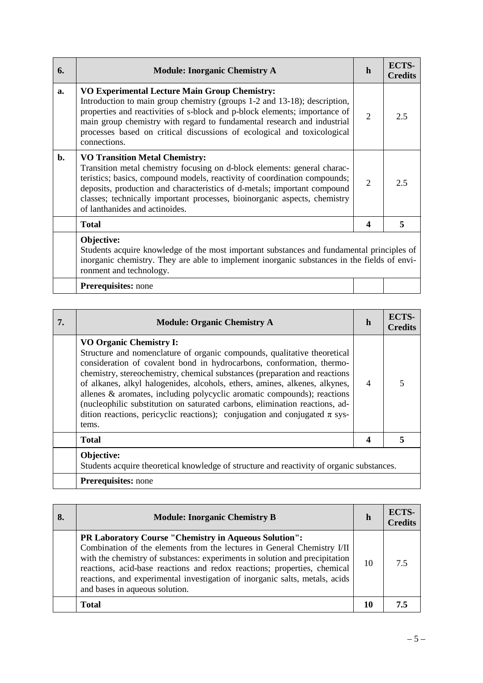| 6. | <b>Module: Inorganic Chemistry A</b>                                                                                                                                                                                                                                                                                                                                                      | h                | ECTS-<br><b>Credits</b> |
|----|-------------------------------------------------------------------------------------------------------------------------------------------------------------------------------------------------------------------------------------------------------------------------------------------------------------------------------------------------------------------------------------------|------------------|-------------------------|
| a. | <b>VO Experimental Lecture Main Group Chemistry:</b><br>Introduction to main group chemistry (groups 1-2 and 13-18); description,<br>properties and reactivities of s-block and p-block elements; importance of<br>main group chemistry with regard to fundamental research and industrial<br>processes based on critical discussions of ecological and toxicological<br>connections.     | 2                | 2.5                     |
| b. | <b>VO Transition Metal Chemistry:</b><br>Transition metal chemistry focusing on d-block elements: general charac-<br>teristics; basics, compound models, reactivity of coordination compounds;<br>deposits, production and characteristics of d-metals; important compound<br>classes; technically important processes, bioinorganic aspects, chemistry<br>of lanthanides and actinoides. | $\overline{2}$   | 2.5                     |
|    | <b>Total</b>                                                                                                                                                                                                                                                                                                                                                                              | $\boldsymbol{4}$ | 5                       |
|    | Objective:<br>Students acquire knowledge of the most important substances and fundamental principles of<br>inorganic chemistry. They are able to implement inorganic substances in the fields of envi-<br>ronment and technology.                                                                                                                                                         |                  |                         |
|    | Prerequisites: none                                                                                                                                                                                                                                                                                                                                                                       |                  |                         |

| <b>Prerequisites:</b> none |
|----------------------------|
|                            |

| 7. | <b>Module: Organic Chemistry A</b>                                                                                                                                                                                                                                                                                                                                                                                                                                                                                                                                                                   | h | <b>ECTS-</b><br>Credits |
|----|------------------------------------------------------------------------------------------------------------------------------------------------------------------------------------------------------------------------------------------------------------------------------------------------------------------------------------------------------------------------------------------------------------------------------------------------------------------------------------------------------------------------------------------------------------------------------------------------------|---|-------------------------|
|    | <b>VO Organic Chemistry I:</b><br>Structure and nomenclature of organic compounds, qualitative theoretical<br>consideration of covalent bond in hydrocarbons, conformation, thermo-<br>chemistry, stereochemistry, chemical substances (preparation and reactions<br>of alkanes, alkyl halogenides, alcohols, ethers, amines, alkenes, alkynes,<br>allenes & aromates, including polycyclic aromatic compounds); reactions<br>(nucleophilic substitution on saturated carbons, elimination reactions, ad-<br>dition reactions, pericyclic reactions); conjugation and conjugated $\pi$ sys-<br>tems. | 4 |                         |
|    | <b>Total</b>                                                                                                                                                                                                                                                                                                                                                                                                                                                                                                                                                                                         |   |                         |
|    | Objective:<br>Students acquire theoretical knowledge of structure and reactivity of organic substances.                                                                                                                                                                                                                                                                                                                                                                                                                                                                                              |   |                         |
|    | <b>Prerequisites:</b> none                                                                                                                                                                                                                                                                                                                                                                                                                                                                                                                                                                           |   |                         |

| 8. | <b>Module: Inorganic Chemistry B</b>                                                                                                                                                                                                                                                                                                                                                                         | h  | ECTS-<br><b>Credits</b> |
|----|--------------------------------------------------------------------------------------------------------------------------------------------------------------------------------------------------------------------------------------------------------------------------------------------------------------------------------------------------------------------------------------------------------------|----|-------------------------|
|    | PR Laboratory Course "Chemistry in Aqueous Solution":<br>Combination of the elements from the lectures in General Chemistry I/II<br>with the chemistry of substances: experiments in solution and precipitation<br>reactions, acid-base reactions and redox reactions; properties, chemical<br>reactions, and experimental investigation of inorganic salts, metals, acids<br>and bases in aqueous solution. | 10 | 75                      |
|    | <b>Total</b>                                                                                                                                                                                                                                                                                                                                                                                                 | 10 | 7.5                     |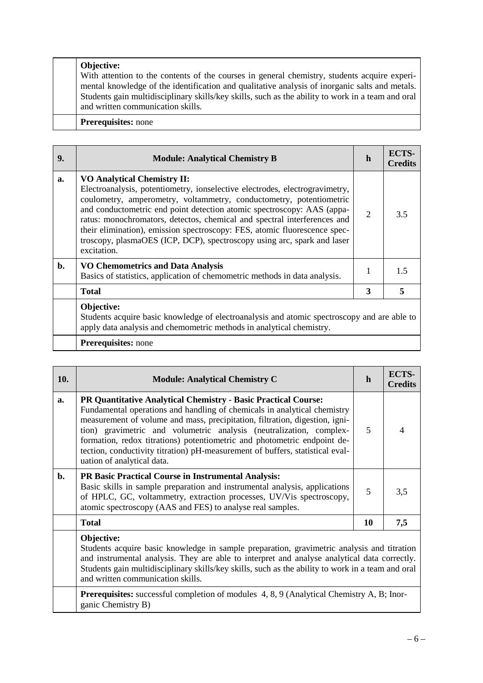# **Objective:** With attention to the contents of the courses in general chemistry, students acquire experimental knowledge of the identification and qualitative analysis of inorganic salts and metals. Students gain multidisciplinary skills/key skills, such as the ability to work in a team and oral and written communication skills. **Prerequisites:** none

| 9. | <b>Module: Analytical Chemistry B</b>                                                                                                                                                                                                                                                                                                                                                                                                                                                                                 | h              | ECTS-<br><b>Credits</b> |
|----|-----------------------------------------------------------------------------------------------------------------------------------------------------------------------------------------------------------------------------------------------------------------------------------------------------------------------------------------------------------------------------------------------------------------------------------------------------------------------------------------------------------------------|----------------|-------------------------|
| a. | <b>VO Analytical Chemistry II:</b><br>Electroanalysis, potentiometry, ionselective electrodes, electrogravimetry,<br>coulometry, amperometry, voltammetry, conductometry, potentiometric<br>and conductometric end point detection atomic spectroscopy: AAS (appa-<br>ratus: monochromators, detectos, chemical and spectral interferences and<br>their elimination), emission spectroscopy: FES, atomic fluorescence spec-<br>troscopy, plasmaOES (ICP, DCP), spectroscopy using arc, spark and laser<br>excitation. | $\overline{2}$ | 3.5                     |
| b. | <b>VO Chemometrics and Data Analysis</b><br>Basics of statistics, application of chemometric methods in data analysis.                                                                                                                                                                                                                                                                                                                                                                                                | 1              | 1.5                     |
|    | <b>Total</b>                                                                                                                                                                                                                                                                                                                                                                                                                                                                                                          | 3              | 5                       |
|    | Objective:<br>Students acquire basic knowledge of electroanalysis and atomic spectroscopy and are able to<br>apply data analysis and chemometric methods in analytical chemistry.                                                                                                                                                                                                                                                                                                                                     |                |                         |
|    | <b>Prerequisites:</b> none                                                                                                                                                                                                                                                                                                                                                                                                                                                                                            |                |                         |

| 10.            | <b>Module: Analytical Chemistry C</b>                                                                                                                                                                                                                                                                                                                                                                                                                                                              | $\mathbf h$ | ECTS-<br><b>Credits</b> |
|----------------|----------------------------------------------------------------------------------------------------------------------------------------------------------------------------------------------------------------------------------------------------------------------------------------------------------------------------------------------------------------------------------------------------------------------------------------------------------------------------------------------------|-------------|-------------------------|
| a.             | <b>PR Quantitative Analytical Chemistry - Basic Practical Course:</b><br>Fundamental operations and handling of chemicals in analytical chemistry<br>measurement of volume and mass, precipitation, filtration, digestion, igni-<br>tion) gravimetric and volumetric analysis (neutralization, complex-<br>formation, redox titrations) potentiometric and photometric endpoint de-<br>tection, conductivity titration) pH-measurement of buffers, statistical eval-<br>uation of analytical data. | 5           |                         |
| $\mathbf{b}$ . | <b>PR Basic Practical Course in Instrumental Analysis:</b><br>Basic skills in sample preparation and instrumental analysis, applications<br>of HPLC, GC, voltammetry, extraction processes, UV/Vis spectroscopy,<br>atomic spectroscopy (AAS and FES) to analyse real samples.                                                                                                                                                                                                                     | 5           | 3,5                     |
|                | <b>Total</b>                                                                                                                                                                                                                                                                                                                                                                                                                                                                                       | 10          | 7,5                     |
|                | Objective:<br>Students acquire basic knowledge in sample preparation, gravimetric analysis and titration<br>and instrumental analysis. They are able to interpret and analyse analytical data correctly.                                                                                                                                                                                                                                                                                           |             |                         |

Students gain multidisciplinary skills/key skills, such as the ability to work in a team and oral and written communication skills. Prerequisites: successful completion of modules 4, 8, 9 (Analytical Chemistry A, B; Inorganic Chemistry B)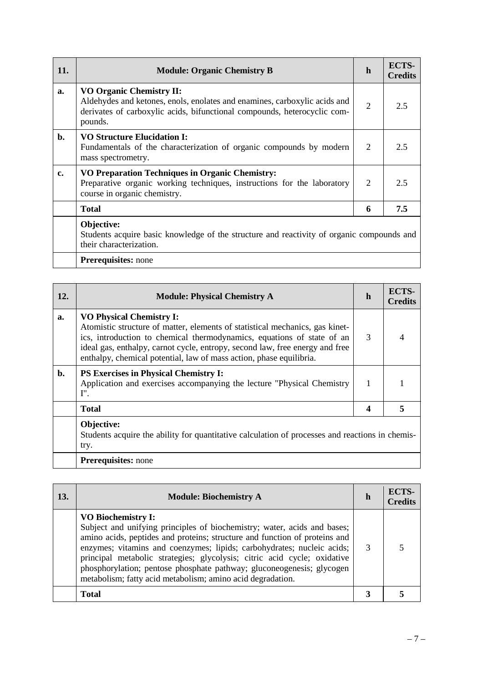| 11.           | <b>Module: Organic Chemistry B</b>                                                                                                                                                                  | h | ECTS-<br><b>Credits</b> |
|---------------|-----------------------------------------------------------------------------------------------------------------------------------------------------------------------------------------------------|---|-------------------------|
| a.            | <b>VO Organic Chemistry II:</b><br>Aldehydes and ketones, enols, enolates and enamines, carboxylic acids and<br>derivates of carboxylic acids, bifunctional compounds, heterocyclic com-<br>pounds. | 2 | 2.5                     |
| b.            | <b>VO Structure Elucidation I:</b><br>Fundamentals of the characterization of organic compounds by modern<br>mass spectrometry.                                                                     | 2 | 2.5                     |
| $c_{\bullet}$ | <b>VO Preparation Techniques in Organic Chemistry:</b><br>Preparative organic working techniques, instructions for the laboratory<br>course in organic chemistry.                                   | 2 | 2.5                     |
|               | <b>Total</b>                                                                                                                                                                                        | 6 | 7.5                     |
|               | Objective:<br>Students acquire basic knowledge of the structure and reactivity of organic compounds and<br>their characterization.                                                                  |   |                         |
|               | Prerequisites: none                                                                                                                                                                                 |   |                         |

| 12. | <b>Module: Physical Chemistry A</b>                                                                                                                                                                                                                                                                                                              | h | ECTS-<br><b>Credits</b> |
|-----|--------------------------------------------------------------------------------------------------------------------------------------------------------------------------------------------------------------------------------------------------------------------------------------------------------------------------------------------------|---|-------------------------|
| a.  | <b>VO Physical Chemistry I:</b><br>Atomistic structure of matter, elements of statistical mechanics, gas kinet-<br>ics, introduction to chemical thermodynamics, equations of state of an<br>ideal gas, enthalpy, carnot cycle, entropy, second law, free energy and free<br>enthalpy, chemical potential, law of mass action, phase equilibria. | 3 |                         |
| b.  | <b>PS Exercises in Physical Chemistry I:</b><br>Application and exercises accompanying the lecture "Physical Chemistry<br>I''.                                                                                                                                                                                                                   | 1 |                         |
|     | <b>Total</b>                                                                                                                                                                                                                                                                                                                                     | 4 |                         |
|     | Objective:<br>Students acquire the ability for quantitative calculation of processes and reactions in chemis-<br>try.                                                                                                                                                                                                                            |   |                         |
|     | <b>Prerequisites:</b> none                                                                                                                                                                                                                                                                                                                       |   |                         |

| <b>13.</b> | <b>Module: Biochemistry A</b>                                                                                                                                                                                                                                                                                                                                                                                                                                                    | h | ECTS-<br><b>Credits</b> |
|------------|----------------------------------------------------------------------------------------------------------------------------------------------------------------------------------------------------------------------------------------------------------------------------------------------------------------------------------------------------------------------------------------------------------------------------------------------------------------------------------|---|-------------------------|
|            | <b>VO Biochemistry I:</b><br>Subject and unifying principles of biochemistry; water, acids and bases;<br>amino acids, peptides and proteins; structure and function of proteins and<br>enzymes; vitamins and coenzymes; lipids; carbohydrates; nucleic acids;<br>principal metabolic strategies; glycolysis; citric acid cycle; oxidative<br>phosphorylation; pentose phosphate pathway; gluconeogenesis; glycogen<br>metabolism; fatty acid metabolism; amino acid degradation. | 3 |                         |
|            | <b>Total</b>                                                                                                                                                                                                                                                                                                                                                                                                                                                                     |   |                         |

 $\overline{\phantom{a}}$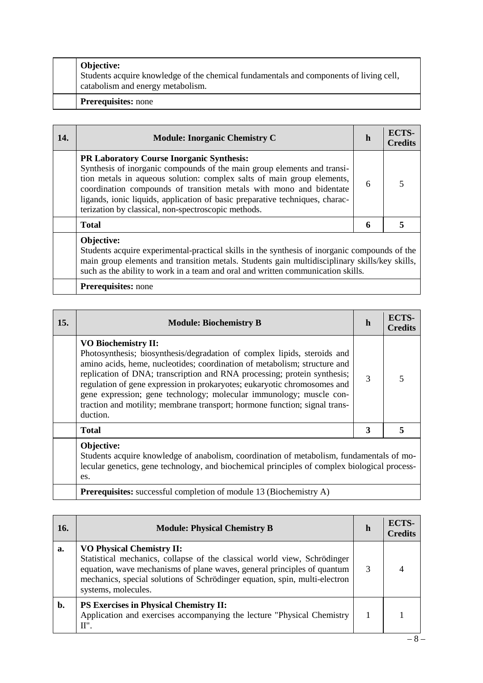|  | <b>Objective:</b><br>Students acquire knowledge of the chemical fundamentals and components of living cell,<br>catabolism and energy metabolism. |
|--|--------------------------------------------------------------------------------------------------------------------------------------------------|
|  | <b>Prerequisites:</b> none                                                                                                                       |

| 14. | <b>Module: Inorganic Chemistry C</b>                                                                                                                                                                                                                                                                                                                                                                                | h | ECTS-<br><b>Credits</b> |
|-----|---------------------------------------------------------------------------------------------------------------------------------------------------------------------------------------------------------------------------------------------------------------------------------------------------------------------------------------------------------------------------------------------------------------------|---|-------------------------|
|     | <b>PR Laboratory Course Inorganic Synthesis:</b><br>Synthesis of inorganic compounds of the main group elements and transi-<br>tion metals in aqueous solution: complex salts of main group elements,<br>coordination compounds of transition metals with mono and bidentate<br>ligands, ionic liquids, application of basic preparative techniques, charac-<br>terization by classical, non-spectroscopic methods. | 6 |                         |
|     | <b>Total</b>                                                                                                                                                                                                                                                                                                                                                                                                        | 6 |                         |
|     | Objective:<br>Students acquire experimental-practical skills in the synthesis of inorganic compounds of the<br>main group elements and transition metals. Students gain multidisciplinary skills/key skills,<br>such as the ability to work in a team and oral and written communication skills.                                                                                                                    |   |                         |

|  | <b>Prerequisites:</b> none |
|--|----------------------------|
|--|----------------------------|

| 15. | <b>Module: Biochemistry B</b>                                                                                                                                                                                                                                                                                                                                                                                                                                                                                | $\mathbf h$ | ECTS-<br><b>Credits</b> |
|-----|--------------------------------------------------------------------------------------------------------------------------------------------------------------------------------------------------------------------------------------------------------------------------------------------------------------------------------------------------------------------------------------------------------------------------------------------------------------------------------------------------------------|-------------|-------------------------|
|     | <b>VO Biochemistry II:</b><br>Photosynthesis; biosynthesis/degradation of complex lipids, steroids and<br>amino acids, heme, nucleotides; coordination of metabolism; structure and<br>replication of DNA; transcription and RNA processing; protein synthesis;<br>regulation of gene expression in prokaryotes; eukaryotic chromosomes and<br>gene expression; gene technology; molecular immunology; muscle con-<br>traction and motility; membrane transport; hormone function; signal trans-<br>duction. | 3           |                         |
|     | <b>Total</b>                                                                                                                                                                                                                                                                                                                                                                                                                                                                                                 | 3           |                         |
|     | Objective:<br>Students acquire knowledge of anabolism coordination of metabolism fundamentals of mo-                                                                                                                                                                                                                                                                                                                                                                                                         |             |                         |

Students acquire knowledge of anabolism, coordination of metabolism, fundamentals of molecular genetics, gene technology, and biochemical principles of complex biological processes.

**Prerequisites:** successful completion of module 13 (Biochemistry A)

| <b>16.</b> | <b>Module: Physical Chemistry B</b>                                                                                                                                                                                                                                                          | h | ECTS-<br><b>Credits</b> |
|------------|----------------------------------------------------------------------------------------------------------------------------------------------------------------------------------------------------------------------------------------------------------------------------------------------|---|-------------------------|
| a.         | <b>VO Physical Chemistry II:</b><br>Statistical mechanics, collapse of the classical world view, Schrödinger<br>equation, wave mechanisms of plane waves, general principles of quantum<br>mechanics, special solutions of Schrödinger equation, spin, multi-electron<br>systems, molecules. | 3 |                         |
| b.         | <b>PS Exercises in Physical Chemistry II:</b><br>Application and exercises accompanying the lecture "Physical Chemistry<br>Π".                                                                                                                                                               |   |                         |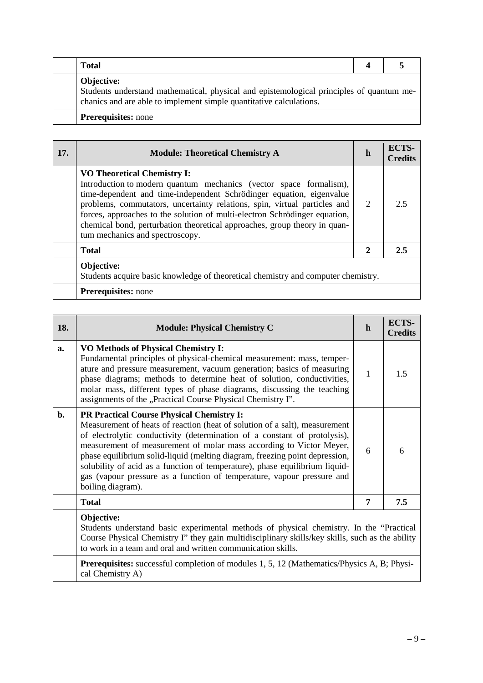| Total                                                                                                                                                                         |  |
|-------------------------------------------------------------------------------------------------------------------------------------------------------------------------------|--|
| Objective:<br>Students understand mathematical, physical and epistemological principles of quantum me-<br>chances and are able to implement simple quantitative calculations. |  |
| <b>Prerequisites:</b> none                                                                                                                                                    |  |

| 17. | <b>Module: Theoretical Chemistry A</b>                                                                                                                                                                                                                                                                                                                                                                                                                      | h | ECTS-<br><b>Credits</b> |
|-----|-------------------------------------------------------------------------------------------------------------------------------------------------------------------------------------------------------------------------------------------------------------------------------------------------------------------------------------------------------------------------------------------------------------------------------------------------------------|---|-------------------------|
|     | <b>VO Theoretical Chemistry I:</b><br>Introduction to modern quantum mechanics (vector space formalism),<br>time-dependent and time-independent Schrödinger equation, eigenvalue<br>problems, commutators, uncertainty relations, spin, virtual particles and<br>forces, approaches to the solution of multi-electron Schrödinger equation,<br>chemical bond, perturbation theoretical approaches, group theory in quan-<br>tum mechanics and spectroscopy. | 2 | 2.5                     |
|     | <b>Total</b>                                                                                                                                                                                                                                                                                                                                                                                                                                                | 2 | 2.5                     |
|     | Objective:<br>Students acquire basic knowledge of theoretical chemistry and computer chemistry.                                                                                                                                                                                                                                                                                                                                                             |   |                         |
|     | <b>Prerequisites:</b> none                                                                                                                                                                                                                                                                                                                                                                                                                                  |   |                         |

| 18.   | <b>Module: Physical Chemistry C</b>                                                                                                                                                                                                                                                                                                                                                                                                                                                                                                             | $\mathbf h$ | ECTS-<br><b>Credits</b> |
|-------|-------------------------------------------------------------------------------------------------------------------------------------------------------------------------------------------------------------------------------------------------------------------------------------------------------------------------------------------------------------------------------------------------------------------------------------------------------------------------------------------------------------------------------------------------|-------------|-------------------------|
| a.    | <b>VO Methods of Physical Chemistry I:</b><br>Fundamental principles of physical-chemical measurement: mass, temper-<br>ature and pressure measurement, vacuum generation; basics of measuring<br>phase diagrams; methods to determine heat of solution, conductivities,<br>molar mass, different types of phase diagrams, discussing the teaching<br>assignments of the "Practical Course Physical Chemistry I".                                                                                                                               | 1           | 1.5                     |
| $b$ . | <b>PR Practical Course Physical Chemistry I:</b><br>Measurement of heats of reaction (heat of solution of a salt), measurement<br>of electrolytic conductivity (determination of a constant of protolysis),<br>measurement of measurement of molar mass according to Victor Meyer,<br>phase equilibrium solid-liquid (melting diagram, freezing point depression,<br>solubility of acid as a function of temperature), phase equilibrium liquid-<br>gas (vapour pressure as a function of temperature, vapour pressure and<br>boiling diagram). | 6           | 6                       |
|       | <b>Total</b>                                                                                                                                                                                                                                                                                                                                                                                                                                                                                                                                    | 7           | 7.5                     |
|       | Objective:<br>Students understand basic experimental methods of physical chemistry. In the "Practical<br>Course Physical Chemistry I'' they gain multidisciplinary skills/key skills, such as the ability<br>to work in a team and oral and written communication skills.<br><b>Prerequisites:</b> successful completion of modules 1, 5, 12 (Mathematics/Physics A, B; Physi-                                                                                                                                                                  |             |                         |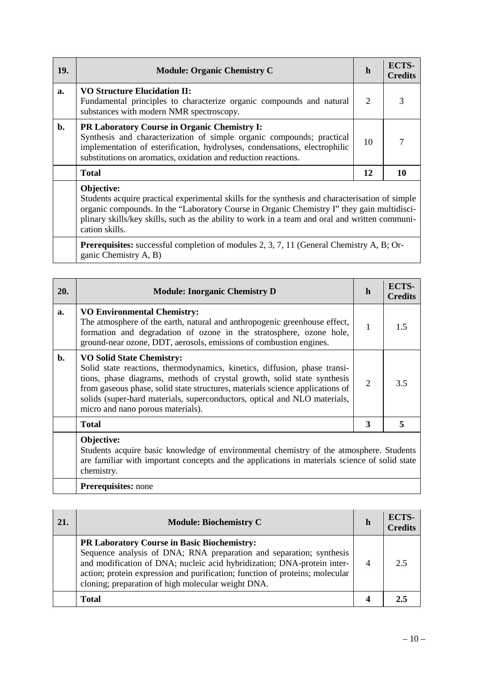| 19.                                                                                                                                                                                                                                                                                                                             | <b>Module: Organic Chemistry C</b>                                                                                                                                                                                                                                    | h  | <b>ECTS-</b><br><b>Credits</b> |
|---------------------------------------------------------------------------------------------------------------------------------------------------------------------------------------------------------------------------------------------------------------------------------------------------------------------------------|-----------------------------------------------------------------------------------------------------------------------------------------------------------------------------------------------------------------------------------------------------------------------|----|--------------------------------|
| a.                                                                                                                                                                                                                                                                                                                              | <b>VO Structure Elucidation II:</b><br>Fundamental principles to characterize organic compounds and natural<br>substances with modern NMR spectroscopy.                                                                                                               | 2  |                                |
| $\mathbf{b}$ .                                                                                                                                                                                                                                                                                                                  | PR Laboratory Course in Organic Chemistry I:<br>Synthesis and characterization of simple organic compounds; practical<br>implementation of esterification, hydrolyses, condensations, electrophilic<br>substitutions on aromatics, oxidation and reduction reactions. | 10 |                                |
|                                                                                                                                                                                                                                                                                                                                 | <b>Total</b>                                                                                                                                                                                                                                                          | 12 | 10                             |
| Objective:<br>Students acquire practical experimental skills for the synthesis and characterisation of simple<br>organic compounds. In the "Laboratory Course in Organic Chemistry I" they gain multidisci-<br>plinary skills/key skills, such as the ability to work in a team and oral and written communi-<br>cation skills. |                                                                                                                                                                                                                                                                       |    |                                |

Prerequisites: successful completion of modules 2, 3, 7, 11 (General Chemistry A, B; Organic Chemistry A, B)

| 20.            | <b>Module: Inorganic Chemistry D</b>                                                                                                                                                                                                                                                                                                                                                        | $\mathbf h$    | ECTS-<br><b>Credits</b> |
|----------------|---------------------------------------------------------------------------------------------------------------------------------------------------------------------------------------------------------------------------------------------------------------------------------------------------------------------------------------------------------------------------------------------|----------------|-------------------------|
| a.             | <b>VO Environmental Chemistry:</b><br>The atmosphere of the earth, natural and anthropogenic greenhouse effect,<br>formation and degradation of ozone in the stratosphere, ozone hole,<br>ground-near ozone, DDT, aerosols, emissions of combustion engines.                                                                                                                                | 1              | 1.5                     |
| $\mathbf{b}$ . | <b>VO Solid State Chemistry:</b><br>Solid state reactions, thermodynamics, kinetics, diffusion, phase transi-<br>tions, phase diagrams, methods of crystal growth, solid state synthesis<br>from gaseous phase, solid state structures, materials science applications of<br>solids (super-hard materials, superconductors, optical and NLO materials,<br>micro and nano porous materials). | $\overline{2}$ | 3.5                     |
|                | <b>Total</b>                                                                                                                                                                                                                                                                                                                                                                                | 3              | 5                       |
|                | Objective:<br>Students acquire basic knowledge of environmental chemistry of the atmosphere. Students<br>ero femilier with important concepts and the epplications in materials science of solid state                                                                                                                                                                                      |                |                         |

are familiar with important concepts and the applications in materials science of solid state chemistry.

# **Prerequisites:** none

| 21. | <b>Module: Biochemistry C</b>                                                                                                                                                                                                                                                                                                       | h              | ECTS-<br><b>Credits</b> |
|-----|-------------------------------------------------------------------------------------------------------------------------------------------------------------------------------------------------------------------------------------------------------------------------------------------------------------------------------------|----------------|-------------------------|
|     | PR Laboratory Course in Basic Biochemistry:<br>Sequence analysis of DNA; RNA preparation and separation; synthesis<br>and modification of DNA; nucleic acid hybridization; DNA-protein inter-<br>action; protein expression and purification; function of proteins; molecular<br>cloning; preparation of high molecular weight DNA. | $\overline{4}$ | 2.5                     |
|     | <b>Total</b>                                                                                                                                                                                                                                                                                                                        |                | 2.1                     |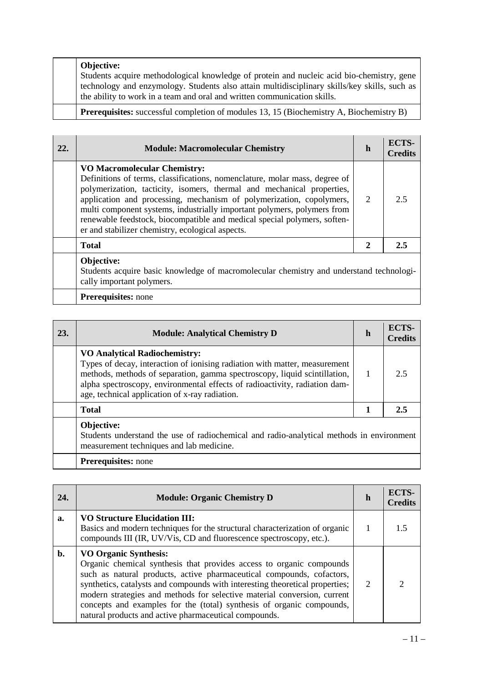|  | Objective:                                                                                                                                                               |
|--|--------------------------------------------------------------------------------------------------------------------------------------------------------------------------|
|  | Students acquire methodological knowledge of protein and nucleic acid bio-chemistry, gene                                                                                |
|  | technology and enzymology. Students also attain multidisciplinary skills/key skills, such as<br>the ability to work in a team and oral and written communication skills. |
|  | <b>Prerequisites:</b> successful completion of modules 13, 15 (Biochemistry A, Biochemistry B)                                                                           |

| 22. | <b>Module: Macromolecular Chemistry</b>                                                                                                                                                                                                                                                                                                                                                                                                                                        | h | <b>ECTS-</b><br><b>Credits</b> |
|-----|--------------------------------------------------------------------------------------------------------------------------------------------------------------------------------------------------------------------------------------------------------------------------------------------------------------------------------------------------------------------------------------------------------------------------------------------------------------------------------|---|--------------------------------|
|     | <b>VO Macromolecular Chemistry:</b><br>Definitions of terms, classifications, nomenclature, molar mass, degree of<br>polymerization, tacticity, isomers, thermal and mechanical properties,<br>application and processing, mechanism of polymerization, copolymers,<br>multi component systems, industrially important polymers, polymers from<br>renewable feedstock, biocompatible and medical special polymers, soften-<br>er and stabilizer chemistry, ecological aspects. | 2 | 2.5                            |
|     | <b>Total</b>                                                                                                                                                                                                                                                                                                                                                                                                                                                                   | 2 | 2.5                            |
|     | Objective:<br>Students acquire basic knowledge of macromolecular chemistry and understand technologi-<br>cally important polymers.                                                                                                                                                                                                                                                                                                                                             |   |                                |
|     | <b>Prerequisites:</b> none                                                                                                                                                                                                                                                                                                                                                                                                                                                     |   |                                |

| 23. | <b>Module: Analytical Chemistry D</b>                                                                                                                                                                                                                                                                                           | h | ECTS-<br><b>Credits</b> |
|-----|---------------------------------------------------------------------------------------------------------------------------------------------------------------------------------------------------------------------------------------------------------------------------------------------------------------------------------|---|-------------------------|
|     | <b>VO Analytical Radiochemistry:</b><br>Types of decay, interaction of ionising radiation with matter, measurement<br>methods, methods of separation, gamma spectroscopy, liquid scintillation,<br>alpha spectroscopy, environmental effects of radioactivity, radiation dam-<br>age, technical application of x-ray radiation. |   | 2.5                     |
|     | <b>Total</b>                                                                                                                                                                                                                                                                                                                    | 1 | 2.5                     |
|     | Objective:<br>Students understand the use of radiochemical and radio-analytical methods in environment<br>measurement techniques and lab medicine.                                                                                                                                                                              |   |                         |
|     | <b>Prerequisites:</b> none                                                                                                                                                                                                                                                                                                      |   |                         |

| 24. | <b>Module: Organic Chemistry D</b>                                                                                                                                                                                                                                                                                                                                                                                                                                          | h             | ECTS-<br><b>Credits</b> |
|-----|-----------------------------------------------------------------------------------------------------------------------------------------------------------------------------------------------------------------------------------------------------------------------------------------------------------------------------------------------------------------------------------------------------------------------------------------------------------------------------|---------------|-------------------------|
| a.  | <b>VO Structure Elucidation III:</b><br>Basics and modern techniques for the structural characterization of organic<br>compounds III (IR, UV/Vis, CD and fluorescence spectroscopy, etc.).                                                                                                                                                                                                                                                                                  |               | 15                      |
| b.  | <b>VO Organic Synthesis:</b><br>Organic chemical synthesis that provides access to organic compounds<br>such as natural products, active pharmaceutical compounds, cofactors,<br>synthetics, catalysts and compounds with interesting theoretical properties;<br>modern strategies and methods for selective material conversion, current<br>concepts and examples for the (total) synthesis of organic compounds,<br>natural products and active pharmaceutical compounds. | $\mathcal{D}$ |                         |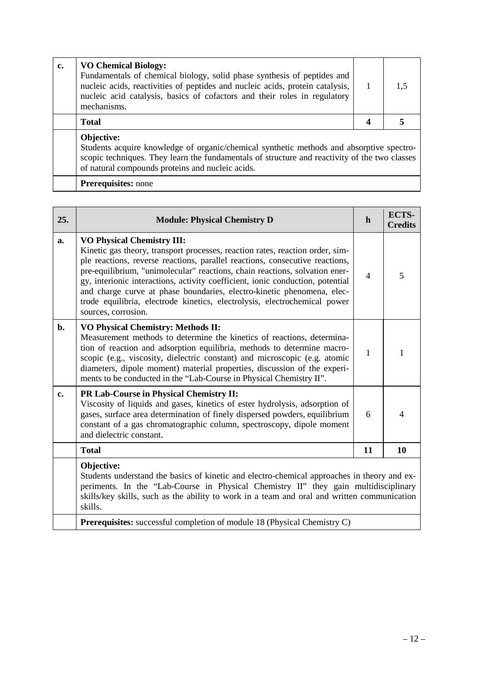| c. | <b>VO Chemical Biology:</b><br>Fundamentals of chemical biology, solid phase synthesis of peptides and<br>nucleic acids, reactivities of peptides and nucleic acids, protein catalysis,<br>nucleic acid catalysis, basics of cofactors and their roles in regulatory<br>mechanisms. |   | 1.5 |  |  |
|----|-------------------------------------------------------------------------------------------------------------------------------------------------------------------------------------------------------------------------------------------------------------------------------------|---|-----|--|--|
|    | <b>Total</b>                                                                                                                                                                                                                                                                        | 4 |     |  |  |
|    | Objective:<br>Students acquire knowledge of organic/chemical synthetic methods and absorptive spectro-<br>scopic techniques. They learn the fundamentals of structure and reactivity of the two classes<br>of natural compounds proteins and nucleic acids.                         |   |     |  |  |
|    | <b>Prerequisites:</b> none                                                                                                                                                                                                                                                          |   |     |  |  |

| 25. | <b>Module: Physical Chemistry D</b>                                                                                                                                                                                                                                                                                                                                                                                                                                                                                                               | $\mathbf h$    | ECTS-<br><b>Credits</b> |
|-----|---------------------------------------------------------------------------------------------------------------------------------------------------------------------------------------------------------------------------------------------------------------------------------------------------------------------------------------------------------------------------------------------------------------------------------------------------------------------------------------------------------------------------------------------------|----------------|-------------------------|
| a.  | <b>VO Physical Chemistry III:</b><br>Kinetic gas theory, transport processes, reaction rates, reaction order, sim-<br>ple reactions, reverse reactions, parallel reactions, consecutive reactions,<br>pre-equilibrium, "unimolecular" reactions, chain reactions, solvation ener-<br>gy, interionic interactions, activity coefficient, ionic conduction, potential<br>and charge curve at phase boundaries, electro-kinetic phenomena, elec-<br>trode equilibria, electrode kinetics, electrolysis, electrochemical power<br>sources, corrosion. | $\overline{4}$ | 5                       |
| b.  | <b>VO Physical Chemistry: Methods II:</b><br>Measurement methods to determine the kinetics of reactions, determina-<br>tion of reaction and adsorption equilibria, methods to determine macro-<br>scopic (e.g., viscosity, dielectric constant) and microscopic (e.g. atomic<br>diameters, dipole moment) material properties, discussion of the experi-<br>ments to be conducted in the "Lab-Course in Physical Chemistry II".                                                                                                                   | 1              |                         |
| c.  | PR Lab-Course in Physical Chemistry II:<br>Viscosity of liquids and gases, kinetics of ester hydrolysis, adsorption of<br>gases, surface area determination of finely dispersed powders, equilibrium<br>constant of a gas chromatographic column, spectroscopy, dipole moment<br>and dielectric constant.                                                                                                                                                                                                                                         | 6              | 4                       |
|     | <b>Total</b>                                                                                                                                                                                                                                                                                                                                                                                                                                                                                                                                      | 11             | 10                      |
|     | Objective:<br>Students understand the basics of kinetic and electro-chemical approaches in theory and ex-<br>periments. In the "Lab-Course in Physical Chemistry II" they gain multidisciplinary<br>skills/key skills, such as the ability to work in a team and oral and written communication<br>skills.                                                                                                                                                                                                                                        |                |                         |

**Prerequisites:** successful completion of module 18 (Physical Chemistry C)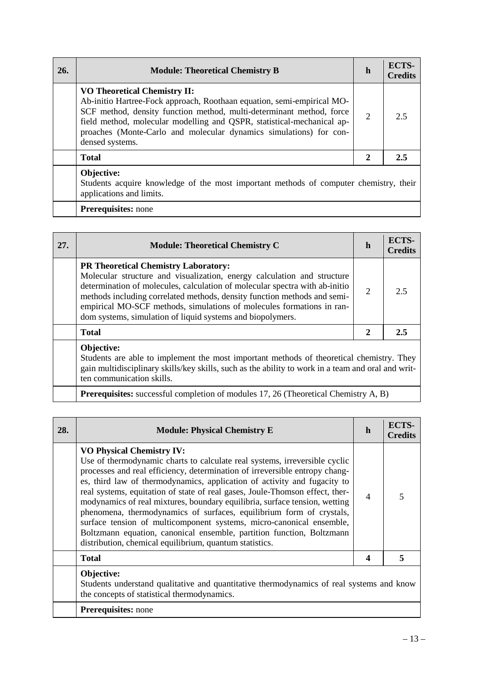| 26. | <b>Module: Theoretical Chemistry B</b>                                                                                                                                                                                                                                                                                                                   | h              | ECTS-<br><b>Credits</b> |
|-----|----------------------------------------------------------------------------------------------------------------------------------------------------------------------------------------------------------------------------------------------------------------------------------------------------------------------------------------------------------|----------------|-------------------------|
|     | <b>VO Theoretical Chemistry II:</b><br>Ab-initio Hartree-Fock approach, Roothaan equation, semi-empirical MO-<br>SCF method, density function method, multi-determinant method, force<br>field method, molecular modelling and QSPR, statistical-mechanical ap-<br>proaches (Monte-Carlo and molecular dynamics simulations) for con-<br>densed systems. | $\overline{2}$ | 2.5                     |
|     | <b>Total</b>                                                                                                                                                                                                                                                                                                                                             | 2              | 2.5                     |
|     | Objective:<br>Students acquire knowledge of the most important methods of computer chemistry, their<br>applications and limits.                                                                                                                                                                                                                          |                |                         |

| <b>Prerequisites:</b> none |  |
|----------------------------|--|
|                            |  |

| 27. | <b>Module: Theoretical Chemistry C</b>                                                                                                                                                                                                                                                                                                                                                                                   | h              | ECTS-<br><b>Credits</b> |
|-----|--------------------------------------------------------------------------------------------------------------------------------------------------------------------------------------------------------------------------------------------------------------------------------------------------------------------------------------------------------------------------------------------------------------------------|----------------|-------------------------|
|     | <b>PR Theoretical Chemistry Laboratory:</b><br>Molecular structure and visualization, energy calculation and structure<br>determination of molecules, calculation of molecular spectra with ab-initio<br>methods including correlated methods, density function methods and semi-<br>empirical MO-SCF methods, simulations of molecules formations in ran-<br>dom systems, simulation of liquid systems and biopolymers. | $\overline{2}$ | 2.5                     |
|     | <b>Total</b>                                                                                                                                                                                                                                                                                                                                                                                                             | 2              | 2.5                     |
|     | Objective:                                                                                                                                                                                                                                                                                                                                                                                                               |                |                         |

Students are able to implement the most important methods of theoretical chemistry. They gain multidisciplinary skills/key skills, such as the ability to work in a team and oral and written communication skills.

**Prerequisites:** successful completion of modules 17, 26 (Theoretical Chemistry A, B)

| 28. | <b>Module: Physical Chemistry E</b>                                                                                                                                                                                                                                                                                                                                                                                                                                                                                                                                                                                                                                                                                         | h                | <b>ECTS-</b><br><b>Credits</b> |
|-----|-----------------------------------------------------------------------------------------------------------------------------------------------------------------------------------------------------------------------------------------------------------------------------------------------------------------------------------------------------------------------------------------------------------------------------------------------------------------------------------------------------------------------------------------------------------------------------------------------------------------------------------------------------------------------------------------------------------------------------|------------------|--------------------------------|
|     | <b>VO Physical Chemistry IV:</b><br>Use of thermodynamic charts to calculate real systems, irreversible cyclic<br>processes and real efficiency, determination of irreversible entropy chang-<br>es, third law of thermodynamics, application of activity and fugacity to<br>real systems, equitation of state of real gases, Joule-Thomson effect, ther-<br>modynamics of real mixtures, boundary equilibria, surface tension, wetting<br>phenomena, thermodynamics of surfaces, equilibrium form of crystals,<br>surface tension of multicomponent systems, micro-canonical ensemble,<br>Boltzmann equation, canonical ensemble, partition function, Boltzmann<br>distribution, chemical equilibrium, quantum statistics. | $\overline{4}$   |                                |
|     | <b>Total</b>                                                                                                                                                                                                                                                                                                                                                                                                                                                                                                                                                                                                                                                                                                                | $\boldsymbol{4}$ | 5                              |
|     | Objective:<br>Students understand qualitative and quantitative thermodynamics of real systems and know<br>the concepts of statistical thermodynamics.                                                                                                                                                                                                                                                                                                                                                                                                                                                                                                                                                                       |                  |                                |
|     | <b>Prerequisites:</b> none                                                                                                                                                                                                                                                                                                                                                                                                                                                                                                                                                                                                                                                                                                  |                  |                                |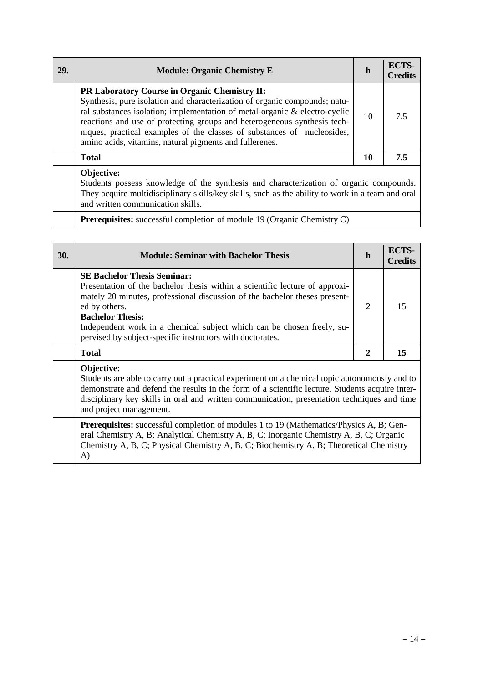| 29. | <b>Module: Organic Chemistry E</b>                                                                                                                                                                                                                                                                                                                                                                                                 | h  | ECTS-<br><b>Credits</b> |
|-----|------------------------------------------------------------------------------------------------------------------------------------------------------------------------------------------------------------------------------------------------------------------------------------------------------------------------------------------------------------------------------------------------------------------------------------|----|-------------------------|
|     | <b>PR Laboratory Course in Organic Chemistry II:</b><br>Synthesis, pure isolation and characterization of organic compounds; natu-<br>ral substances isolation; implementation of metal-organic & electro-cyclic<br>reactions and use of protecting groups and heterogeneous synthesis tech-<br>niques, practical examples of the classes of substances of nucleosides,<br>amino acids, vitamins, natural pigments and fullerenes. | 10 | 75                      |
|     | <b>Total</b>                                                                                                                                                                                                                                                                                                                                                                                                                       | 10 | 7.5                     |
|     | Objective:<br>Students possess knowledge of the synthesis and characterization of organic compounds                                                                                                                                                                                                                                                                                                                                |    |                         |

Students possess knowledge of the synthesis and characterization of organic compounds. They acquire multidisciplinary skills/key skills, such as the ability to work in a team and oral and written communication skills.

**Prerequisites:** successful completion of module 19 (Organic Chemistry C)

| 30. | <b>Module: Seminar with Bachelor Thesis</b>                                                                                                                                                                                                                                                                                                                                        | h              | ECTS-<br><b>Credits</b> |
|-----|------------------------------------------------------------------------------------------------------------------------------------------------------------------------------------------------------------------------------------------------------------------------------------------------------------------------------------------------------------------------------------|----------------|-------------------------|
|     | <b>SE Bachelor Thesis Seminar:</b><br>Presentation of the bachelor thesis within a scientific lecture of approxi-<br>mately 20 minutes, professional discussion of the bachelor theses present-<br>ed by others.<br><b>Bachelor Thesis:</b><br>Independent work in a chemical subject which can be chosen freely, su-<br>pervised by subject-specific instructors with doctorates. | $\overline{2}$ | 15                      |
|     | <b>Total</b>                                                                                                                                                                                                                                                                                                                                                                       | $\overline{2}$ | 15                      |
|     | Objective:<br>Students are able to carry out a practical experiment on a chemical topic autonomously and to<br>demonstrate and defend the results in the form of a scientific lecture. Students acquire inter-<br>disciplinary key skills in oral and written communication, presentation techniques and time<br>and project management.                                           |                |                         |
|     | <b>Prerequisites:</b> successful completion of modules 1 to 19 (Mathematics/Physics A, B; Gen-<br>eral Chemistry A, B; Analytical Chemistry A, B, C; Inorganic Chemistry A, B, C; Organic                                                                                                                                                                                          |                |                         |

Chemistry A, B, C; Physical Chemistry A, B, C; Biochemistry A, B; Theoretical Chemistry

A)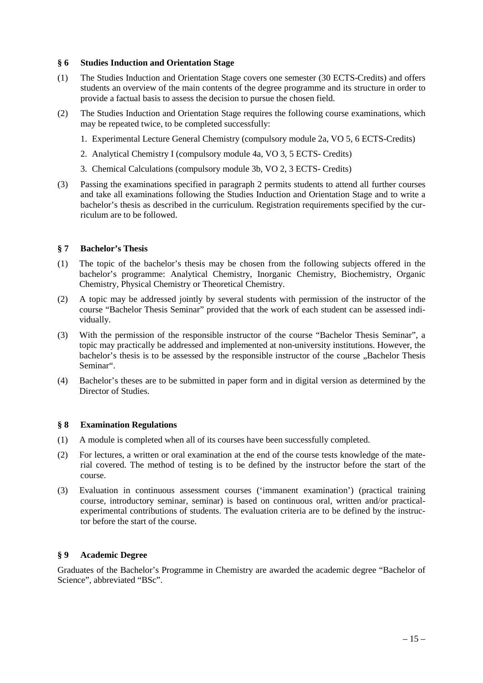### **§ 6 Studies Induction and Orientation Stage**

- (1) The Studies Induction and Orientation Stage covers one semester (30 ECTS-Credits) and offers students an overview of the main contents of the degree programme and its structure in order to provide a factual basis to assess the decision to pursue the chosen field.
- (2) The Studies Induction and Orientation Stage requires the following course examinations, which may be repeated twice, to be completed successfully:
	- 1. Experimental Lecture General Chemistry (compulsory module 2a, VO 5, 6 ECTS-Credits)
	- 2. Analytical Chemistry I (compulsory module 4a, VO 3, 5 ECTS- Credits)
	- 3. Chemical Calculations (compulsory module 3b, VO 2, 3 ECTS- Credits)
- (3) Passing the examinations specified in paragraph 2 permits students to attend all further courses and take all examinations following the Studies Induction and Orientation Stage and to write a bachelor's thesis as described in the curriculum. Registration requirements specified by the curriculum are to be followed.

### **§ 7 Bachelor's Thesis**

- (1) The topic of the bachelor's thesis may be chosen from the following subjects offered in the bachelor's programme: Analytical Chemistry, Inorganic Chemistry, Biochemistry, Organic Chemistry, Physical Chemistry or Theoretical Chemistry.
- (2) A topic may be addressed jointly by several students with permission of the instructor of the course "Bachelor Thesis Seminar" provided that the work of each student can be assessed individually.
- (3) With the permission of the responsible instructor of the course "Bachelor Thesis Seminar", a topic may practically be addressed and implemented at non-university institutions. However, the bachelor's thesis is to be assessed by the responsible instructor of the course "Bachelor Thesis Seminar".
- (4) Bachelor's theses are to be submitted in paper form and in digital version as determined by the Director of Studies.

#### **§ 8 Examination Regulations**

- (1) A module is completed when all of its courses have been successfully completed.
- (2) For lectures, a written or oral examination at the end of the course tests knowledge of the material covered. The method of testing is to be defined by the instructor before the start of the course.
- (3) Evaluation in continuous assessment courses ('immanent examination') (practical training course, introductory seminar, seminar) is based on continuous oral, written and/or practicalexperimental contributions of students. The evaluation criteria are to be defined by the instructor before the start of the course.

### **§ 9 Academic Degree**

Graduates of the Bachelor's Programme in Chemistry are awarded the academic degree "Bachelor of Science", abbreviated "BSc".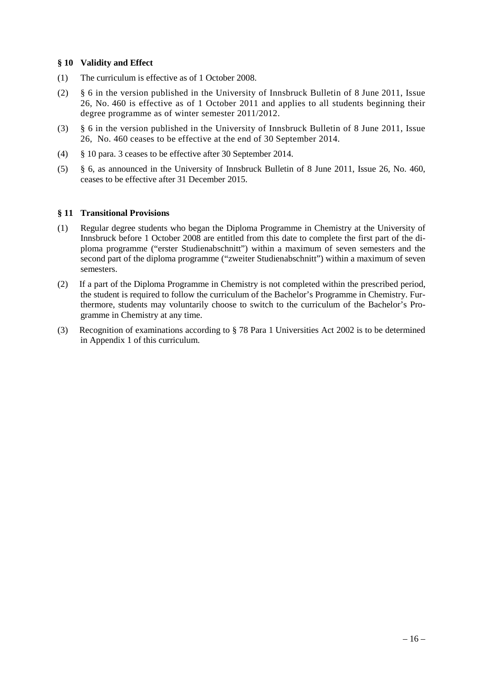### **§ 10 Validity and Effect**

- (1) The curriculum is effective as of 1 October 2008.
- (2) § 6 in the version published in the University of Innsbruck Bulletin of 8 June 2011, Issue 26, No. 460 is effective as of 1 October 2011 and applies to all students beginning their degree programme as of winter semester 2011/2012.
- (3) § 6 in the version published in the University of Innsbruck Bulletin of 8 June 2011, Issue 26, No. 460 ceases to be effective at the end of 30 September 2014.
- (4) § 10 para. 3 ceases to be effective after 30 September 2014.
- (5) § 6, as announced in the University of Innsbruck Bulletin of 8 June 2011, Issue 26, No. 460, ceases to be effective after 31 December 2015.

## **§ 11 Transitional Provisions**

- (1) Regular degree students who began the Diploma Programme in Chemistry at the University of Innsbruck before 1 October 2008 are entitled from this date to complete the first part of the diploma programme ("erster Studienabschnitt") within a maximum of seven semesters and the second part of the diploma programme ("zweiter Studienabschnitt") within a maximum of seven semesters.
- (2) If a part of the Diploma Programme in Chemistry is not completed within the prescribed period, the student is required to follow the curriculum of the Bachelor's Programme in Chemistry. Furthermore, students may voluntarily choose to switch to the curriculum of the Bachelor's Programme in Chemistry at any time.
- (3) Recognition of examinations according to § 78 Para 1 Universities Act 2002 is to be determined in Appendix 1 of this curriculum.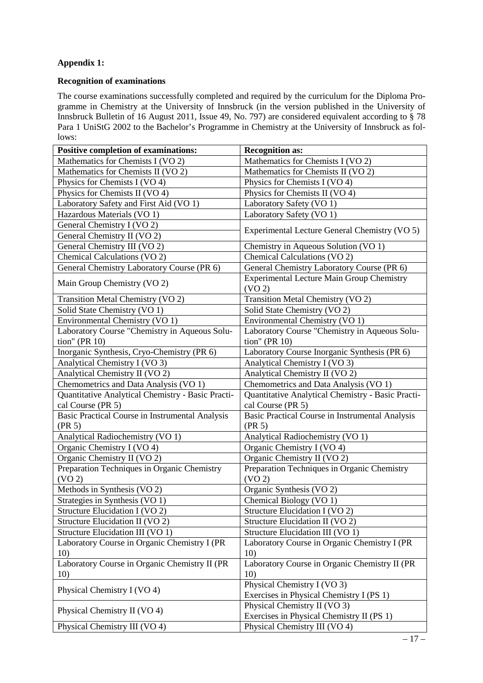# **Appendix 1:**

## **Recognition of examinations**

The course examinations successfully completed and required by the curriculum for the Diploma Programme in Chemistry at the University of Innsbruck (in the version published in the University of Innsbruck Bulletin of 16 August 2011, Issue 49, No. 797) are considered equivalent according to § 78 Para 1 UniStG 2002 to the Bachelor's Programme in Chemistry at the University of Innsbruck as follows:

| <b>Positive completion of examinations:</b>                       | <b>Recognition as:</b>                                                 |  |  |
|-------------------------------------------------------------------|------------------------------------------------------------------------|--|--|
| Mathematics for Chemists I (VO 2)                                 | Mathematics for Chemists I (VO 2)                                      |  |  |
| Mathematics for Chemists II (VO 2)                                | Mathematics for Chemists II (VO 2)                                     |  |  |
| Physics for Chemists I (VO 4)                                     | Physics for Chemists I (VO 4)                                          |  |  |
| Physics for Chemists II (VO 4)                                    | Physics for Chemists II (VO 4)                                         |  |  |
| Laboratory Safety and First Aid (VO 1)                            | Laboratory Safety (VO 1)                                               |  |  |
| Hazardous Materials (VO 1)                                        | Laboratory Safety (VO 1)                                               |  |  |
| General Chemistry I (VO 2)                                        |                                                                        |  |  |
| General Chemistry II (VO 2)                                       | Experimental Lecture General Chemistry (VO 5)                          |  |  |
| General Chemistry III (VO 2)                                      | Chemistry in Aqueous Solution (VO 1)                                   |  |  |
| Chemical Calculations (VO 2)                                      | Chemical Calculations (VO 2)                                           |  |  |
| General Chemistry Laboratory Course (PR 6)                        | General Chemistry Laboratory Course (PR 6)                             |  |  |
| Main Group Chemistry (VO 2)                                       | <b>Experimental Lecture Main Group Chemistry</b><br>(VO <sub>2</sub> ) |  |  |
| Transition Metal Chemistry (VO 2)                                 | Transition Metal Chemistry (VO 2)                                      |  |  |
| Solid State Chemistry (VO 1)                                      | Solid State Chemistry (VO 2)                                           |  |  |
| Environmental Chemistry (VO 1)                                    | Environmental Chemistry (VO 1)                                         |  |  |
| Laboratory Course "Chemistry in Aqueous Solu-                     | Laboratory Course "Chemistry in Aqueous Solu-                          |  |  |
| tion" (PR 10)                                                     | tion" (PR $10$ )                                                       |  |  |
| Inorganic Synthesis, Cryo-Chemistry (PR 6)                        | Laboratory Course Inorganic Synthesis (PR 6)                           |  |  |
| Analytical Chemistry I (VO 3)                                     | Analytical Chemistry I (VO 3)                                          |  |  |
| Analytical Chemistry II (VO 2)                                    | Analytical Chemistry II (VO 2)                                         |  |  |
| Chemometrics and Data Analysis (VO 1)                             | Chemometrics and Data Analysis (VO 1)                                  |  |  |
| Quantitative Analytical Chemistry - Basic Practi-                 | Quantitative Analytical Chemistry - Basic Practi-                      |  |  |
| cal Course (PR 5)                                                 | cal Course (PR 5)                                                      |  |  |
| Basic Practical Course in Instrumental Analysis<br>(PR 5)         | <b>Basic Practical Course in Instrumental Analysis</b><br>(PR 5)       |  |  |
| Analytical Radiochemistry (VO 1)                                  | Analytical Radiochemistry (VO 1)                                       |  |  |
| Organic Chemistry I (VO 4)                                        | Organic Chemistry I (VO 4)                                             |  |  |
| Organic Chemistry II (VO 2)                                       | Organic Chemistry II (VO 2)                                            |  |  |
| Preparation Techniques in Organic Chemistry<br>(VO <sub>2</sub> ) | Preparation Techniques in Organic Chemistry<br>(VO <sub>2</sub> )      |  |  |
| Methods in Synthesis (VO 2)                                       | Organic Synthesis (VO 2)                                               |  |  |
| Strategies in Synthesis (VO 1)                                    | Chemical Biology (VO 1)                                                |  |  |
| Structure Elucidation I (VO 2)                                    | Structure Elucidation I (VO 2)                                         |  |  |
| Structure Elucidation II (VO 2)                                   | Structure Elucidation II (VO 2)                                        |  |  |
| Structure Elucidation III (VO 1)                                  | Structure Elucidation III (VO 1)                                       |  |  |
| Laboratory Course in Organic Chemistry I (PR                      | Laboratory Course in Organic Chemistry I (PR                           |  |  |
| 10)                                                               | 10)                                                                    |  |  |
| Laboratory Course in Organic Chemistry II (PR                     | Laboratory Course in Organic Chemistry II (PR                          |  |  |
| 10)                                                               | 10)                                                                    |  |  |
|                                                                   | Physical Chemistry I (VO 3)                                            |  |  |
| Physical Chemistry I (VO 4)                                       | Exercises in Physical Chemistry I (PS 1)                               |  |  |
|                                                                   | Physical Chemistry II (VO 3)                                           |  |  |
| Physical Chemistry II (VO 4)                                      | Exercises in Physical Chemistry II (PS 1)                              |  |  |
| Physical Chemistry III (VO 4)                                     | Physical Chemistry III (VO 4)                                          |  |  |